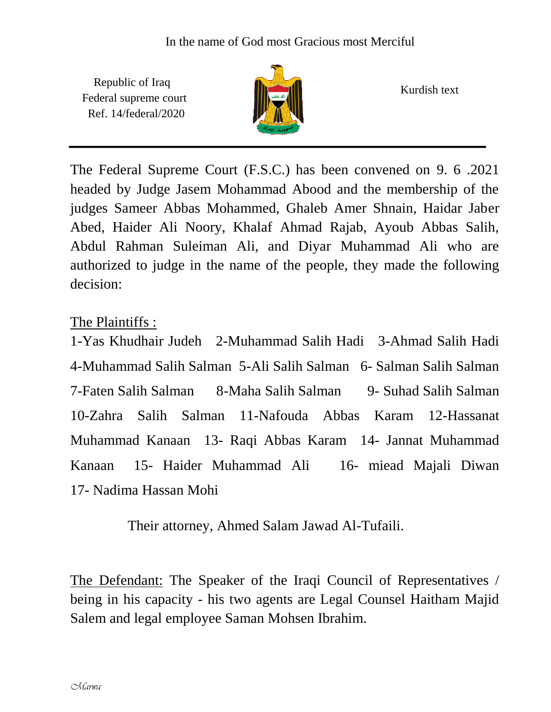Republic of Iraq Federal supreme court Ref. 14/federal/2020



Kurdish text

The Federal Supreme Court (F.S.C.) has been convened on 9. 6 .2021 headed by Judge Jasem Mohammad Abood and the membership of the judges Sameer Abbas Mohammed, Ghaleb Amer Shnain, Haidar Jaber Abed, Haider Ali Noory, Khalaf Ahmad Rajab, Ayoub Abbas Salih, Abdul Rahman Suleiman Ali, and Diyar Muhammad Ali who are authorized to judge in the name of the people, they made the following decision:

## The Plaintiffs :

1-Yas Khudhair Judeh 2-Muhammad Salih Hadi 3-Ahmad Salih Hadi 4-Muhammad Salih Salman 5-Ali Salih Salman 6- Salman Salih Salman 7-Faten Salih Salman 8-Maha Salih Salman 9- Suhad Salih Salman 10-Zahra Salih Salman 11-Nafouda Abbas Karam 12-Hassanat Muhammad Kanaan 13- Raqi Abbas Karam 14- Jannat Muhammad Kanaan 15- Haider Muhammad Ali 16- miead Majali Diwan 17- Nadima Hassan Mohi

Their attorney, Ahmed Salam Jawad Al-Tufaili.

The Defendant: The Speaker of the Iraqi Council of Representatives / being in his capacity - his two agents are Legal Counsel Haitham Majid Salem and legal employee Saman Mohsen Ibrahim.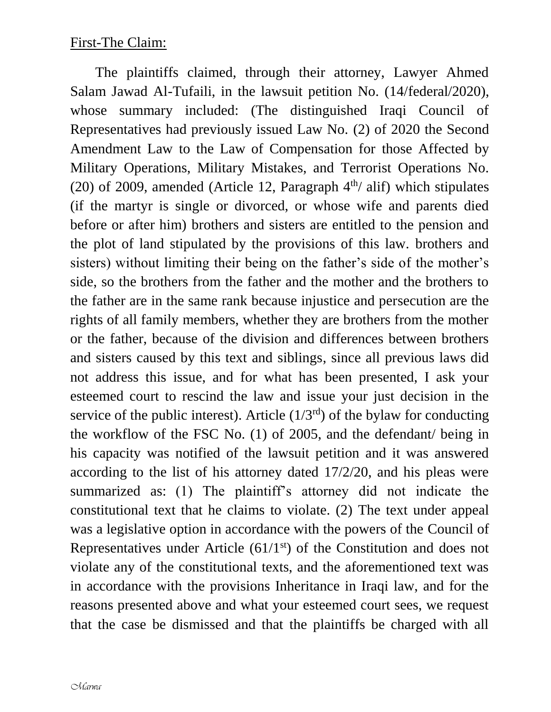The plaintiffs claimed, through their attorney, Lawyer Ahmed Salam Jawad Al-Tufaili, in the lawsuit petition No. (14/federal/2020), whose summary included: (The distinguished Iraqi Council of Representatives had previously issued Law No. (2) of 2020 the Second Amendment Law to the Law of Compensation for those Affected by Military Operations, Military Mistakes, and Terrorist Operations No. (20) of 2009, amended (Article 12, Paragraph  $4<sup>th</sup>/$  alif) which stipulates (if the martyr is single or divorced, or whose wife and parents died before or after him) brothers and sisters are entitled to the pension and the plot of land stipulated by the provisions of this law. brothers and sisters) without limiting their being on the father's side of the mother's side, so the brothers from the father and the mother and the brothers to the father are in the same rank because injustice and persecution are the rights of all family members, whether they are brothers from the mother or the father, because of the division and differences between brothers and sisters caused by this text and siblings, since all previous laws did not address this issue, and for what has been presented, I ask your esteemed court to rescind the law and issue your just decision in the service of the public interest). Article  $(1/3<sup>rd</sup>)$  of the bylaw for conducting the workflow of the FSC No. (1) of 2005, and the defendant/ being in his capacity was notified of the lawsuit petition and it was answered according to the list of his attorney dated 17/2/20, and his pleas were summarized as: (1) The plaintiff's attorney did not indicate the constitutional text that he claims to violate. (2) The text under appeal was a legislative option in accordance with the powers of the Council of Representatives under Article  $(61/1<sup>st</sup>)$  of the Constitution and does not violate any of the constitutional texts, and the aforementioned text was in accordance with the provisions Inheritance in Iraqi law, and for the reasons presented above and what your esteemed court sees, we request that the case be dismissed and that the plaintiffs be charged with all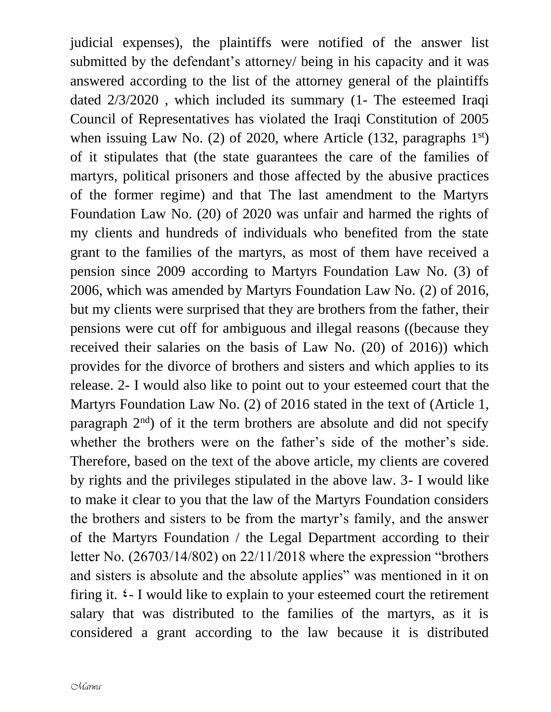judicial expenses), the plaintiffs were notified of the answer list submitted by the defendant's attorney/ being in his capacity and it was answered according to the list of the attorney general of the plaintiffs dated 2/3/2020 , which included its summary (1- The esteemed Iraqi Council of Representatives has violated the Iraqi Constitution of 2005 when issuing Law No. (2) of 2020, where Article  $(132, \text{ paragraphs } 1^{\text{st}})$ of it stipulates that (the state guarantees the care of the families of martyrs, political prisoners and those affected by the abusive practices of the former regime) and that The last amendment to the Martyrs Foundation Law No. (20) of 2020 was unfair and harmed the rights of my clients and hundreds of individuals who benefited from the state grant to the families of the martyrs, as most of them have received a pension since 2009 according to Martyrs Foundation Law No. (3) of 2006, which was amended by Martyrs Foundation Law No. (2) of 2016, but my clients were surprised that they are brothers from the father, their pensions were cut off for ambiguous and illegal reasons ((because they received their salaries on the basis of Law No. (20) of 2016)) which provides for the divorce of brothers and sisters and which applies to its release. 2- I would also like to point out to your esteemed court that the Martyrs Foundation Law No. (2) of 2016 stated in the text of (Article 1, paragraph  $2<sup>nd</sup>$ ) of it the term brothers are absolute and did not specify whether the brothers were on the father's side of the mother's side. Therefore, based on the text of the above article, my clients are covered by rights and the privileges stipulated in the above law. 3- I would like to make it clear to you that the law of the Martyrs Foundation considers the brothers and sisters to be from the martyr's family, and the answer of the Martyrs Foundation / the Legal Department according to their letter No. (26703/14/802) on 22/11/2018 where the expression "brothers and sisters is absolute and the absolute applies" was mentioned in it on firing it.  $\epsilon$ - I would like to explain to your esteemed court the retirement salary that was distributed to the families of the martyrs, as it is considered a grant according to the law because it is distributed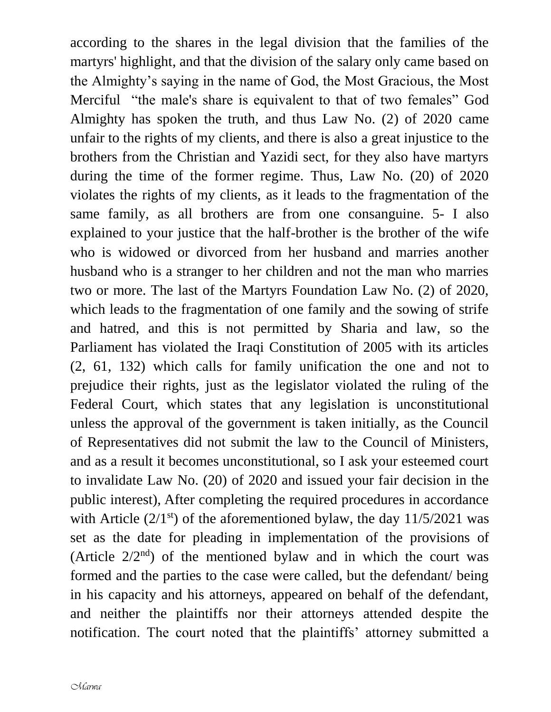according to the shares in the legal division that the families of the martyrs' highlight, and that the division of the salary only came based on the Almighty's saying in the name of God, the Most Gracious, the Most Merciful "the male's share is equivalent to that of two females" God Almighty has spoken the truth, and thus Law No. (2) of 2020 came unfair to the rights of my clients, and there is also a great injustice to the brothers from the Christian and Yazidi sect, for they also have martyrs during the time of the former regime. Thus, Law No. (20) of 2020 violates the rights of my clients, as it leads to the fragmentation of the same family, as all brothers are from one consanguine. 5- I also explained to your justice that the half-brother is the brother of the wife who is widowed or divorced from her husband and marries another husband who is a stranger to her children and not the man who marries two or more. The last of the Martyrs Foundation Law No. (2) of 2020, which leads to the fragmentation of one family and the sowing of strife and hatred, and this is not permitted by Sharia and law, so the Parliament has violated the Iraqi Constitution of 2005 with its articles (2, 61, 132) which calls for family unification the one and not to prejudice their rights, just as the legislator violated the ruling of the Federal Court, which states that any legislation is unconstitutional unless the approval of the government is taken initially, as the Council of Representatives did not submit the law to the Council of Ministers, and as a result it becomes unconstitutional, so I ask your esteemed court to invalidate Law No. (20) of 2020 and issued your fair decision in the public interest), After completing the required procedures in accordance with Article  $(2/1<sup>st</sup>)$  of the aforementioned bylaw, the day  $11/5/2021$  was set as the date for pleading in implementation of the provisions of (Article  $2/2<sup>nd</sup>$ ) of the mentioned bylaw and in which the court was formed and the parties to the case were called, but the defendant/ being in his capacity and his attorneys, appeared on behalf of the defendant, and neither the plaintiffs nor their attorneys attended despite the notification. The court noted that the plaintiffs' attorney submitted a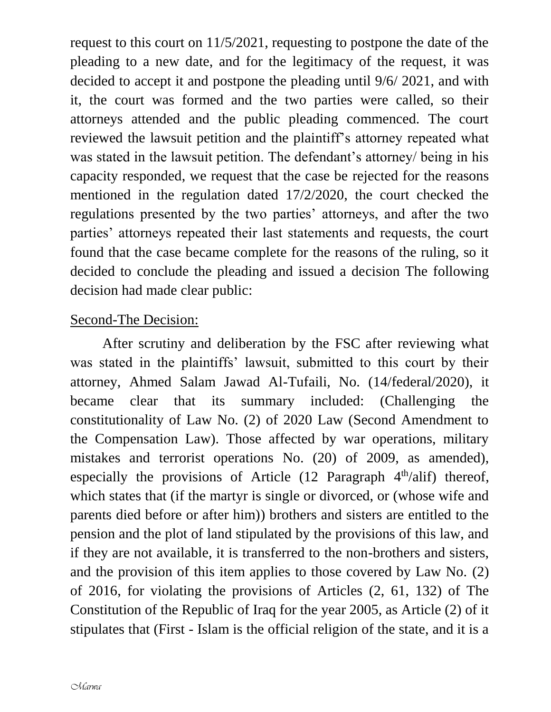request to this court on 11/5/2021, requesting to postpone the date of the pleading to a new date, and for the legitimacy of the request, it was decided to accept it and postpone the pleading until 9/6/ 2021, and with it, the court was formed and the two parties were called, so their attorneys attended and the public pleading commenced. The court reviewed the lawsuit petition and the plaintiff's attorney repeated what was stated in the lawsuit petition. The defendant's attorney/ being in his capacity responded, we request that the case be rejected for the reasons mentioned in the regulation dated 17/2/2020, the court checked the regulations presented by the two parties' attorneys, and after the two parties' attorneys repeated their last statements and requests, the court found that the case became complete for the reasons of the ruling, so it decided to conclude the pleading and issued a decision The following decision had made clear public:

## Second-The Decision:

 After scrutiny and deliberation by the FSC after reviewing what was stated in the plaintiffs' lawsuit, submitted to this court by their attorney, Ahmed Salam Jawad Al-Tufaili, No. (14/federal/2020), it became clear that its summary included: (Challenging the constitutionality of Law No. (2) of 2020 Law (Second Amendment to the Compensation Law). Those affected by war operations, military mistakes and terrorist operations No. (20) of 2009, as amended), especially the provisions of Article  $(12$  Paragraph  $4<sup>th</sup>/ali f$ ) thereof, which states that (if the martyr is single or divorced, or (whose wife and parents died before or after him)) brothers and sisters are entitled to the pension and the plot of land stipulated by the provisions of this law, and if they are not available, it is transferred to the non-brothers and sisters, and the provision of this item applies to those covered by Law No. (2) of 2016, for violating the provisions of Articles (2, 61, 132) of The Constitution of the Republic of Iraq for the year 2005, as Article (2) of it stipulates that (First - Islam is the official religion of the state, and it is a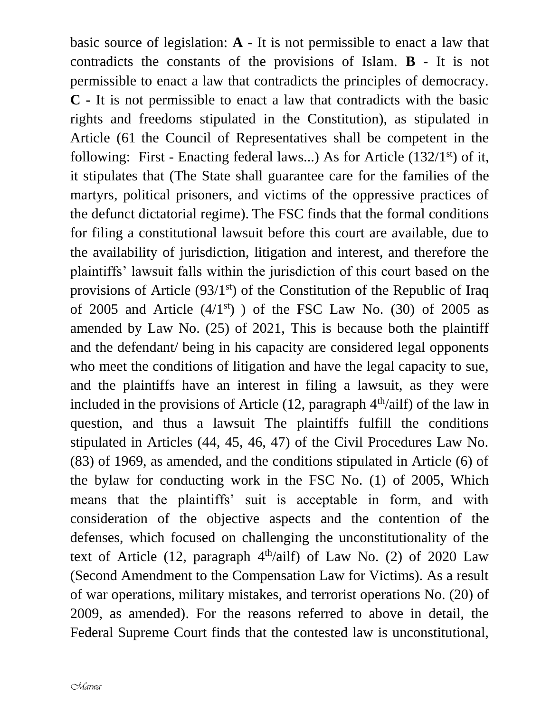basic source of legislation: **A -** It is not permissible to enact a law that contradicts the constants of the provisions of Islam. **B -** It is not permissible to enact a law that contradicts the principles of democracy. **C -** It is not permissible to enact a law that contradicts with the basic rights and freedoms stipulated in the Constitution), as stipulated in Article (61 the Council of Representatives shall be competent in the following: First - Enacting federal laws...) As for Article  $(132/1<sup>st</sup>)$  of it, it stipulates that (The State shall guarantee care for the families of the martyrs, political prisoners, and victims of the oppressive practices of the defunct dictatorial regime). The FSC finds that the formal conditions for filing a constitutional lawsuit before this court are available, due to the availability of jurisdiction, litigation and interest, and therefore the plaintiffs' lawsuit falls within the jurisdiction of this court based on the provisions of Article  $(93/1<sup>st</sup>)$  of the Constitution of the Republic of Iraq of 2005 and Article  $(4/1<sup>st</sup>)$  ) of the FSC Law No. (30) of 2005 as amended by Law No. (25) of 2021, This is because both the plaintiff and the defendant/ being in his capacity are considered legal opponents who meet the conditions of litigation and have the legal capacity to sue, and the plaintiffs have an interest in filing a lawsuit, as they were included in the provisions of Article  $(12,$  paragraph  $4<sup>th</sup>/ailf)$  of the law in question, and thus a lawsuit The plaintiffs fulfill the conditions stipulated in Articles (44, 45, 46, 47) of the Civil Procedures Law No. (83) of 1969, as amended, and the conditions stipulated in Article (6) of the bylaw for conducting work in the FSC No. (1) of 2005, Which means that the plaintiffs' suit is acceptable in form, and with consideration of the objective aspects and the contention of the defenses, which focused on challenging the unconstitutionality of the text of Article  $(12,$  paragraph  $4<sup>th</sup>/ailf)$  of Law No.  $(2)$  of 2020 Law (Second Amendment to the Compensation Law for Victims). As a result of war operations, military mistakes, and terrorist operations No. (20) of 2009, as amended). For the reasons referred to above in detail, the Federal Supreme Court finds that the contested law is unconstitutional,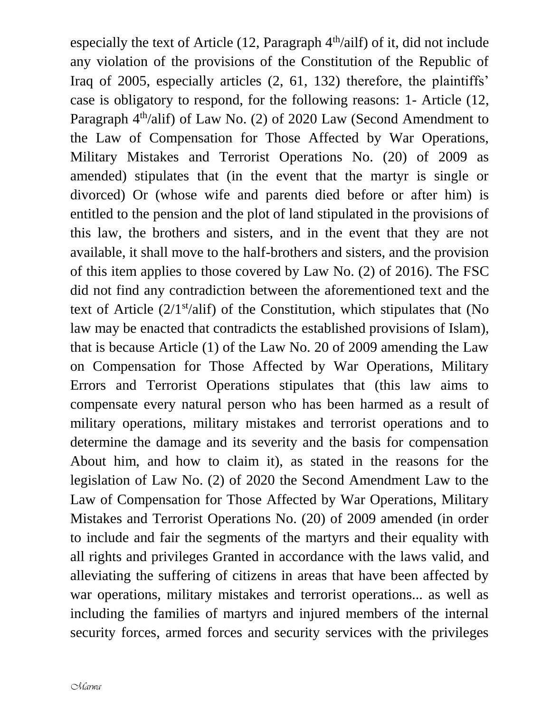especially the text of Article  $(12,$  Paragraph  $4<sup>th</sup>/ailf)$  of it, did not include any violation of the provisions of the Constitution of the Republic of Iraq of 2005, especially articles (2, 61, 132) therefore, the plaintiffs' case is obligatory to respond, for the following reasons: 1- Article (12, Paragraph 4<sup>th</sup>/alif) of Law No. (2) of 2020 Law (Second Amendment to the Law of Compensation for Those Affected by War Operations, Military Mistakes and Terrorist Operations No. (20) of 2009 as amended) stipulates that (in the event that the martyr is single or divorced) Or (whose wife and parents died before or after him) is entitled to the pension and the plot of land stipulated in the provisions of this law, the brothers and sisters, and in the event that they are not available, it shall move to the half-brothers and sisters, and the provision of this item applies to those covered by Law No. (2) of 2016). The FSC did not find any contradiction between the aforementioned text and the text of Article  $(2/1<sup>st</sup>/alif)$  of the Constitution, which stipulates that (No law may be enacted that contradicts the established provisions of Islam), that is because Article (1) of the Law No. 20 of 2009 amending the Law on Compensation for Those Affected by War Operations, Military Errors and Terrorist Operations stipulates that (this law aims to compensate every natural person who has been harmed as a result of military operations, military mistakes and terrorist operations and to determine the damage and its severity and the basis for compensation About him, and how to claim it), as stated in the reasons for the legislation of Law No. (2) of 2020 the Second Amendment Law to the Law of Compensation for Those Affected by War Operations, Military Mistakes and Terrorist Operations No. (20) of 2009 amended (in order to include and fair the segments of the martyrs and their equality with all rights and privileges Granted in accordance with the laws valid, and alleviating the suffering of citizens in areas that have been affected by war operations, military mistakes and terrorist operations... as well as including the families of martyrs and injured members of the internal security forces, armed forces and security services with the privileges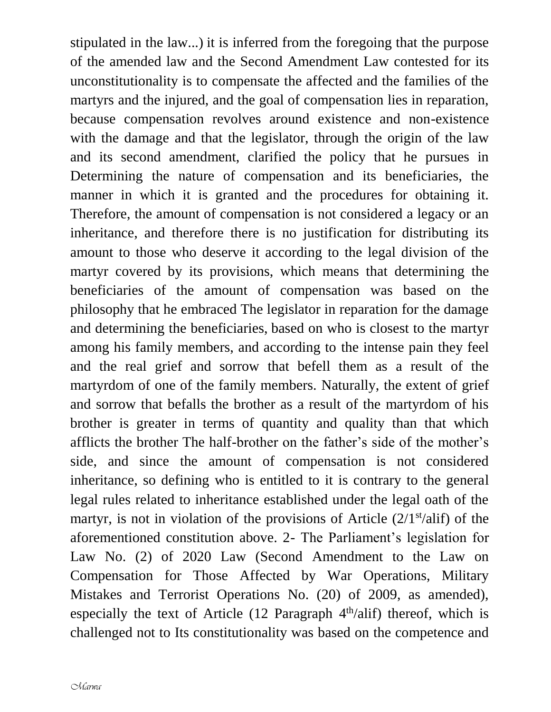stipulated in the law...) it is inferred from the foregoing that the purpose of the amended law and the Second Amendment Law contested for its unconstitutionality is to compensate the affected and the families of the martyrs and the injured, and the goal of compensation lies in reparation, because compensation revolves around existence and non-existence with the damage and that the legislator, through the origin of the law and its second amendment, clarified the policy that he pursues in Determining the nature of compensation and its beneficiaries, the manner in which it is granted and the procedures for obtaining it. Therefore, the amount of compensation is not considered a legacy or an inheritance, and therefore there is no justification for distributing its amount to those who deserve it according to the legal division of the martyr covered by its provisions, which means that determining the beneficiaries of the amount of compensation was based on the philosophy that he embraced The legislator in reparation for the damage and determining the beneficiaries, based on who is closest to the martyr among his family members, and according to the intense pain they feel and the real grief and sorrow that befell them as a result of the martyrdom of one of the family members. Naturally, the extent of grief and sorrow that befalls the brother as a result of the martyrdom of his brother is greater in terms of quantity and quality than that which afflicts the brother The half-brother on the father's side of the mother's side, and since the amount of compensation is not considered inheritance, so defining who is entitled to it is contrary to the general legal rules related to inheritance established under the legal oath of the martyr, is not in violation of the provisions of Article  $(2/1<sup>st</sup>/alif)$  of the aforementioned constitution above. 2- The Parliament's legislation for Law No. (2) of 2020 Law (Second Amendment to the Law on Compensation for Those Affected by War Operations, Military Mistakes and Terrorist Operations No. (20) of 2009, as amended), especially the text of Article  $(12 \text{ Paragnah } 4^{\text{th}}/\text{alif})$  thereof, which is challenged not to Its constitutionality was based on the competence and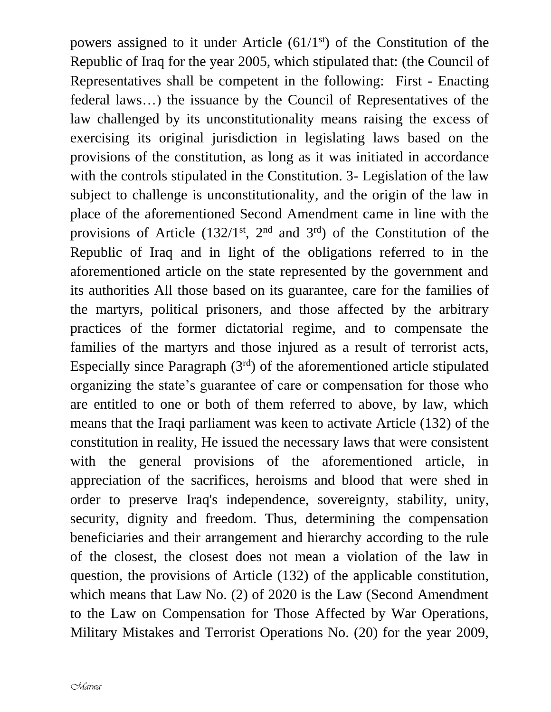powers assigned to it under Article  $(61/1<sup>st</sup>)$  of the Constitution of the Republic of Iraq for the year 2005, which stipulated that: (the Council of Representatives shall be competent in the following: First - Enacting federal laws…) the issuance by the Council of Representatives of the law challenged by its unconstitutionality means raising the excess of exercising its original jurisdiction in legislating laws based on the provisions of the constitution, as long as it was initiated in accordance with the controls stipulated in the Constitution. 3- Legislation of the law subject to challenge is unconstitutionality, and the origin of the law in place of the aforementioned Second Amendment came in line with the provisions of Article  $(132/1^{st}, 2^{nd}$  and  $3^{rd}$ ) of the Constitution of the Republic of Iraq and in light of the obligations referred to in the aforementioned article on the state represented by the government and its authorities All those based on its guarantee, care for the families of the martyrs, political prisoners, and those affected by the arbitrary practices of the former dictatorial regime, and to compensate the families of the martyrs and those injured as a result of terrorist acts, Especially since Paragraph  $(3<sup>rd</sup>)$  of the aforementioned article stipulated organizing the state's guarantee of care or compensation for those who are entitled to one or both of them referred to above, by law, which means that the Iraqi parliament was keen to activate Article (132) of the constitution in reality, He issued the necessary laws that were consistent with the general provisions of the aforementioned article, in appreciation of the sacrifices, heroisms and blood that were shed in order to preserve Iraq's independence, sovereignty, stability, unity, security, dignity and freedom. Thus, determining the compensation beneficiaries and their arrangement and hierarchy according to the rule of the closest, the closest does not mean a violation of the law in question, the provisions of Article (132) of the applicable constitution, which means that Law No. (2) of 2020 is the Law (Second Amendment to the Law on Compensation for Those Affected by War Operations, Military Mistakes and Terrorist Operations No. (20) for the year 2009,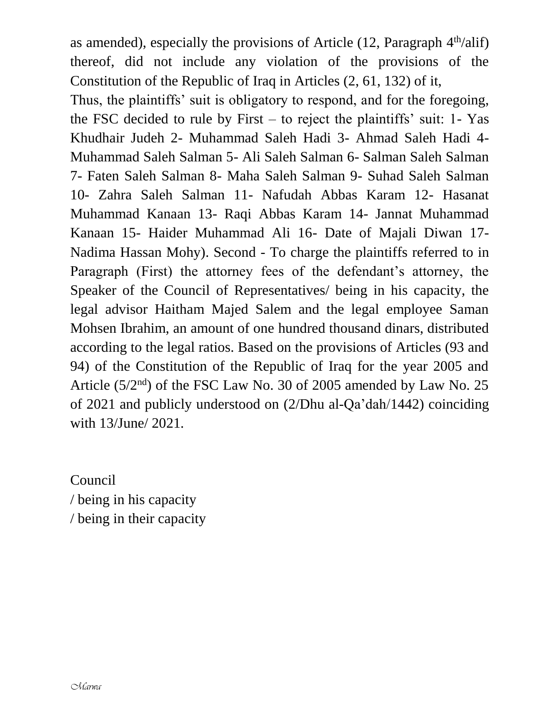as amended), especially the provisions of Article  $(12,$  Paragraph  $4<sup>th</sup>/alif)$ thereof, did not include any violation of the provisions of the Constitution of the Republic of Iraq in Articles (2, 61, 132) of it,

Thus, the plaintiffs' suit is obligatory to respond, and for the foregoing, the FSC decided to rule by First – to reject the plaintiffs' suit: 1- Yas Khudhair Judeh 2- Muhammad Saleh Hadi 3- Ahmad Saleh Hadi 4- Muhammad Saleh Salman 5- Ali Saleh Salman 6- Salman Saleh Salman 7- Faten Saleh Salman 8- Maha Saleh Salman 9- Suhad Saleh Salman 10- Zahra Saleh Salman 11- Nafudah Abbas Karam 12- Hasanat Muhammad Kanaan 13- Raqi Abbas Karam 14- Jannat Muhammad Kanaan 15- Haider Muhammad Ali 16- Date of Majali Diwan 17- Nadima Hassan Mohy). Second - To charge the plaintiffs referred to in Paragraph (First) the attorney fees of the defendant's attorney, the Speaker of the Council of Representatives/ being in his capacity, the legal advisor Haitham Majed Salem and the legal employee Saman Mohsen Ibrahim, an amount of one hundred thousand dinars, distributed according to the legal ratios. Based on the provisions of Articles (93 and 94) of the Constitution of the Republic of Iraq for the year 2005 and Article  $(5/2<sup>nd</sup>)$  of the FSC Law No. 30 of 2005 amended by Law No. 25 of 2021 and publicly understood on (2/Dhu al-Qa'dah/1442) coinciding with 13/June/ 2021.

Council / being in his capacity / being in their capacity